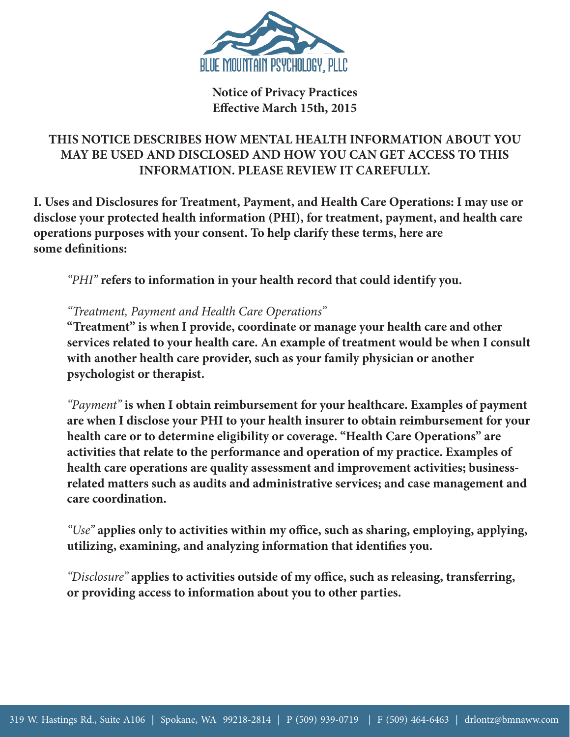

**Notice of Privacy Practices Effective March 15th, 2015**

# **THIS NOTICE DESCRIBES HOW MENTAL HEALTH INFORMATION ABOUT YOU MAY BE USED AND DISCLOSED AND HOW YOU CAN GET ACCESS TO THIS INFORMATION. PLEASE REVIEW IT CAREFULLY.**

**I. Uses and Disclosures for Treatment, Payment, and Health Care Operations: I may use or disclose your protected health information (PHI), for treatment, payment, and health care operations purposes with your consent. To help clarify these terms, here are some definitions:**

*"PHI"* **refers to information in your health record that could identify you.**

## *"Treatment, Payment and Health Care Operations"*

**"Treatment" is when I provide, coordinate or manage your health care and other services related to your health care. An example of treatment would be when I consult with another health care provider, such as your family physician or another psychologist or therapist.**

*"Payment"* **is when I obtain reimbursement for your healthcare. Examples of payment are when I disclose your PHI to your health insurer to obtain reimbursement for your health care or to determine eligibility or coverage. "Health Care Operations" are activities that relate to the performance and operation of my practice. Examples of health care operations are quality assessment and improvement activities; businessrelated matters such as audits and administrative services; and case management and care coordination.**

*"Use"* **applies only to activities within my office, such as sharing, employing, applying, utilizing, examining, and analyzing information that identifies you.**

*"Disclosure"* **applies to activities outside of my office, such as releasing, transferring, or providing access to information about you to other parties.**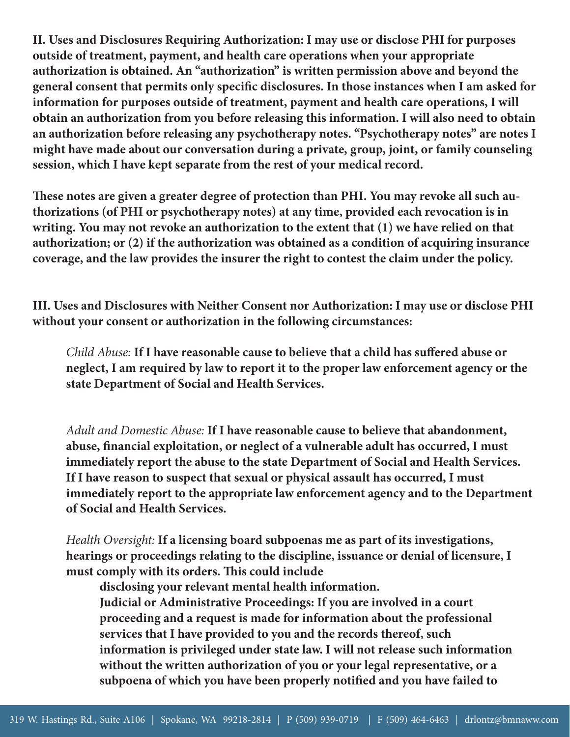**II. Uses and Disclosures Requiring Authorization: I may use or disclose PHI for purposes outside of treatment, payment, and health care operations when your appropriate authorization is obtained. An "authorization" is written permission above and beyond the general consent that permits only specific disclosures. In those instances when I am asked for information for purposes outside of treatment, payment and health care operations, I will obtain an authorization from you before releasing this information. I will also need to obtain an authorization before releasing any psychotherapy notes. "Psychotherapy notes" are notes I might have made about our conversation during a private, group, joint, or family counseling session, which I have kept separate from the rest of your medical record.**

**These notes are given a greater degree of protection than PHI. You may revoke all such authorizations (of PHI or psychotherapy notes) at any time, provided each revocation is in writing. You may not revoke an authorization to the extent that (1) we have relied on that authorization; or (2) if the authorization was obtained as a condition of acquiring insurance coverage, and the law provides the insurer the right to contest the claim under the policy.**

**III. Uses and Disclosures with Neither Consent nor Authorization: I may use or disclose PHI without your consent or authorization in the following circumstances:**

*Child Abuse:* **If I have reasonable cause to believe that a child has suffered abuse or neglect, I am required by law to report it to the proper law enforcement agency or the state Department of Social and Health Services.**

*Adult and Domestic Abuse:* **If I have reasonable cause to believe that abandonment, abuse, financial exploitation, or neglect of a vulnerable adult has occurred, I must immediately report the abuse to the state Department of Social and Health Services. If I have reason to suspect that sexual or physical assault has occurred, I must immediately report to the appropriate law enforcement agency and to the Department of Social and Health Services.**

*Health Oversight:* **If a licensing board subpoenas me as part of its investigations, hearings or proceedings relating to the discipline, issuance or denial of licensure, I must comply with its orders. This could include**

 **disclosing your relevant mental health information. Judicial or Administrative Proceedings: If you are involved in a court proceeding and a request is made for information about the professional services that I have provided to you and the records thereof, such information is privileged under state law. I will not release such information without the written authorization of you or your legal representative, or a subpoena of which you have been properly notified and you have failed to**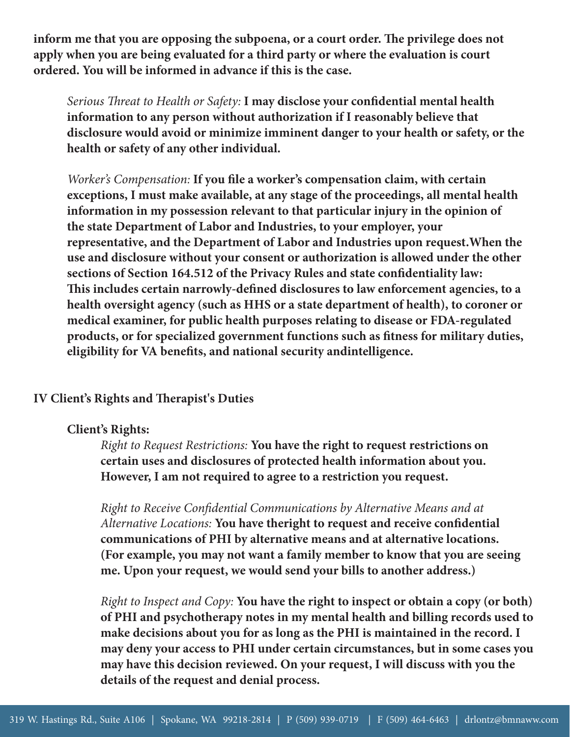**inform me that you are opposing the subpoena, or a court order. The privilege does not apply when you are being evaluated for a third party or where the evaluation is court ordered. You will be informed in advance if this is the case.**

*Serious Threat to Health or Safety:* **I may disclose your confidential mental health information to any person without authorization if I reasonably believe that disclosure would avoid or minimize imminent danger to your health or safety, or the health or safety of any other individual.**

*Worker's Compensation:* **If you file a worker's compensation claim, with certain exceptions, I must make available, at any stage of the proceedings, all mental health information in my possession relevant to that particular injury in the opinion of the state Department of Labor and Industries, to your employer, your representative, and the Department of Labor and Industries upon request.When the use and disclosure without your consent or authorization is allowed under the other sections of Section 164.512 of the Privacy Rules and state confidentiality law: This includes certain narrowly-defined disclosures to law enforcement agencies, to a health oversight agency (such as HHS or a state department of health), to coroner or medical examiner, for public health purposes relating to disease or FDA-regulated products, or for specialized government functions such as fitness for military duties, eligibility for VA benefits, and national security andintelligence.**

### **IV Client's Rights and Therapist's Duties**

#### **Client's Rights:**

*Right to Request Restrictions:* **You have the right to request restrictions on certain uses and disclosures of protected health information about you. However, I am not required to agree to a restriction you request.**

*Right to Receive Confidential Communications by Alternative Means and at Alternative Locations:* **You have theright to request and receive confidential communications of PHI by alternative means and at alternative locations. (For example, you may not want a family member to know that you are seeing me. Upon your request, we would send your bills to another address.)**

*Right to Inspect and Copy:* **You have the right to inspect or obtain a copy (or both) of PHI and psychotherapy notes in my mental health and billing records used to make decisions about you for as long as the PHI is maintained in the record. I may deny your access to PHI under certain circumstances, but in some cases you may have this decision reviewed. On your request, I will discuss with you the details of the request and denial process.**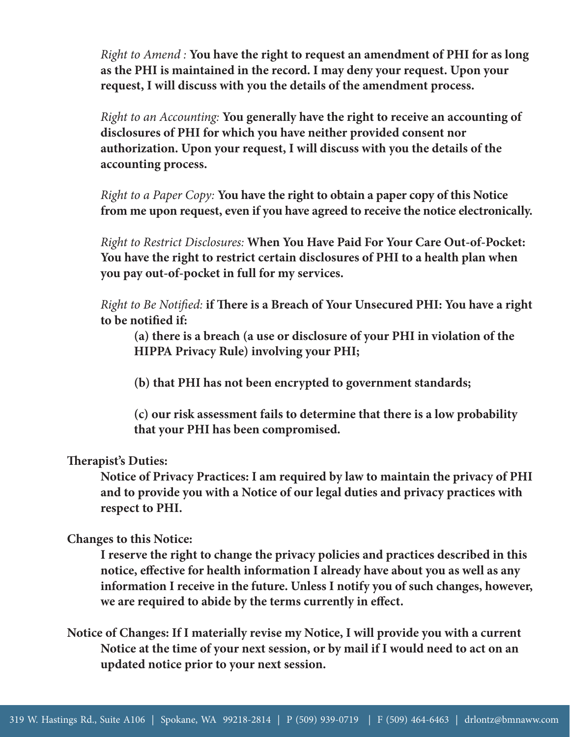*Right to Amend :* **You have the right to request an amendment of PHI for as long as the PHI is maintained in the record. I may deny your request. Upon your request, I will discuss with you the details of the amendment process.**

*Right to an Accounting:* **You generally have the right to receive an accounting of disclosures of PHI for which you have neither provided consent nor authorization. Upon your request, I will discuss with you the details of the accounting process.**

*Right to a Paper Copy:* **You have the right to obtain a paper copy of this Notice from me upon request, even if you have agreed to receive the notice electronically.**

*Right to Restrict Disclosures:* **When You Have Paid For Your Care Out-of-Pocket: You have the right to restrict certain disclosures of PHI to a health plan when you pay out-of-pocket in full for my services.**

*Right to Be Notified:* **if There is a Breach of Your Unsecured PHI: You have a right to be notified if:** 

 **(a) there is a breach (a use or disclosure of your PHI in violation of the HIPPA Privacy Rule) involving your PHI;** 

 **(b) that PHI has not been encrypted to government standards;** 

 **(c) our risk assessment fails to determine that there is a low probability that your PHI has been compromised.**

**Therapist's Duties:**

 **Notice of Privacy Practices: I am required by law to maintain the privacy of PHI and to provide you with a Notice of our legal duties and privacy practices with respect to PHI.**

**Changes to this Notice:** 

 **I reserve the right to change the privacy policies and practices described in this notice, effective for health information I already have about you as well as any information I receive in the future. Unless I notify you of such changes, however, we are required to abide by the terms currently in effect.**

**Notice of Changes: If I materially revise my Notice, I will provide you with a current Notice at the time of your next session, or by mail if I would need to act on an updated notice prior to your next session.**